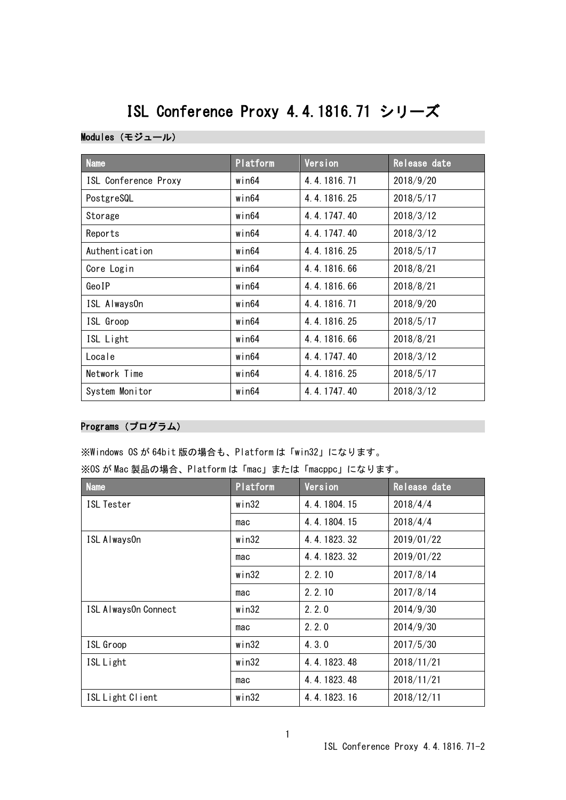# ISL Conference Proxy 4.4.1816.71 シリーズ

# Modules(モジュール)

| <b>Name</b>          | Platform    | Version     | Release date |
|----------------------|-------------|-------------|--------------|
| ISL Conference Proxy | win64       | 4.4.1816.71 | 2018/9/20    |
| PostgreSQL           | win64       | 4.4.1816.25 | 2018/5/17    |
| Storage              | win64       | 4.4.1747.40 | 2018/3/12    |
| Reports              | $w$ in $64$ | 4.4.1747.40 | 2018/3/12    |
| Authentication       | win64       | 4.4.1816.25 | 2018/5/17    |
| Core Login           | $w$ in $64$ | 4.4.1816.66 | 2018/8/21    |
| GeoIP                | $w$ in $64$ | 4.4.1816.66 | 2018/8/21    |
| ISL AlwaysOn         | win64       | 4.4.1816.71 | 2018/9/20    |
| ISL Groop            | $w$ in $64$ | 4.4.1816.25 | 2018/5/17    |
| ISL Light            | win64       | 4.4.1816.66 | 2018/8/21    |
| Locale               | win64       | 4.4.1747.40 | 2018/3/12    |
| Network Time         | win64       | 4.4.1816.25 | 2018/5/17    |
| System Monitor       | win64       | 4.4.1747.40 | 2018/3/12    |

# Programs(プログラム)

※Windows OS が 64bit 版の場合も、Platform は「win32」になります。

| ※OS が Mac 製品の場合、Platform は「mac」または「macppc」になります。 |  |
|--------------------------------------------------|--|
|--------------------------------------------------|--|

| <b>Name</b>          | Platform | Version     | Release date |
|----------------------|----------|-------------|--------------|
| <b>ISL Tester</b>    | win32    | 4.4.1804.15 | 2018/4/4     |
|                      | mac      | 4.4.1804.15 | 2018/4/4     |
| ISL Always0n         | win32    | 4.4.1823.32 | 2019/01/22   |
|                      | mac      | 4.4.1823.32 | 2019/01/22   |
|                      | win32    | 2, 2, 10    | 2017/8/14    |
|                      | mac      | 2.2.10      | 2017/8/14    |
| ISL Always0n Connect | win32    | 2.2.0       | 2014/9/30    |
|                      | mac      | 2, 2, 0     | 2014/9/30    |
| ISL Groop            | win32    | 4.3.0       | 2017/5/30    |
| ISL Light            | win32    | 4.4.1823.48 | 2018/11/21   |
|                      | mac      | 4.4.1823.48 | 2018/11/21   |
| ISL Light Client     | win32    | 4.4.1823.16 | 2018/12/11   |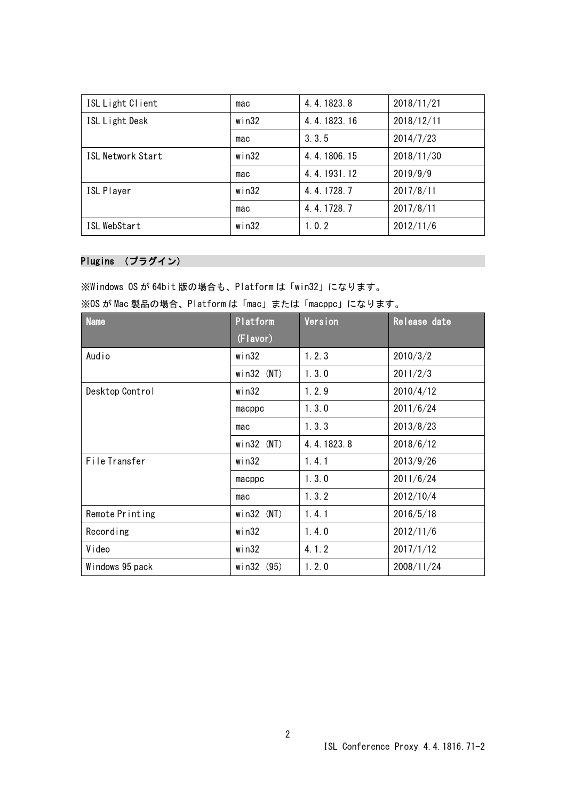| ISL Light Client         | mac   | 4.4.1823.8  | 2018/11/21 |
|--------------------------|-------|-------------|------------|
| ISL Light Desk           | win32 | 4.4.1823.16 | 2018/12/11 |
|                          | mac   | 3, 3, 5     | 2014/7/23  |
| <b>ISL Network Start</b> | win32 | 4.4.1806.15 | 2018/11/30 |
|                          | mac   | 4.4.1931.12 | 2019/9/9   |
| <b>ISL Player</b>        | win32 | 4.4.1728.7  | 2017/8/11  |
|                          | mac   | 4.4.1728.7  | 2017/8/11  |
| ISL WebStart             | win32 | 1.0.2       | 2012/11/6  |

#### Plugins (プラグイン)

※Windows OS が 64bit 版の場合も、Platform は「win32」になります。 ※OS が Mac 製品の場合、Platform は「mac」または「macppc」になります。

| <b>Name</b>     | Platform     | Version    | Release date |
|-----------------|--------------|------------|--------------|
|                 | (Flavor)     |            |              |
| Audio           | win32        | 1, 2, 3    | 2010/3/2     |
|                 | $win32$ (NT) | 1.3.0      | 2011/2/3     |
| Desktop Control | win32        | 1.2.9      | 2010/4/12    |
|                 | macppc       | 1.3.0      | 2011/6/24    |
|                 | mac          | 1.3.3      | 2013/8/23    |
|                 | $win32$ (NT) | 4.4.1823.8 | 2018/6/12    |
| File Transfer   | win32        | 1.4.1      | 2013/9/26    |
|                 | macppc       | 1.3.0      | 2011/6/24    |
|                 | mac          | 1.3.2      | 2012/10/4    |
| Remote Printing | $win32$ (NT) | 1.4.1      | 2016/5/18    |
| Recording       | win32        | 1.4.0      | 2012/11/6    |
| Video           | win32        | 4.1.2      | 2017/1/12    |
| Windows 95 pack | win32 (95)   | 1.2.0      | 2008/11/24   |